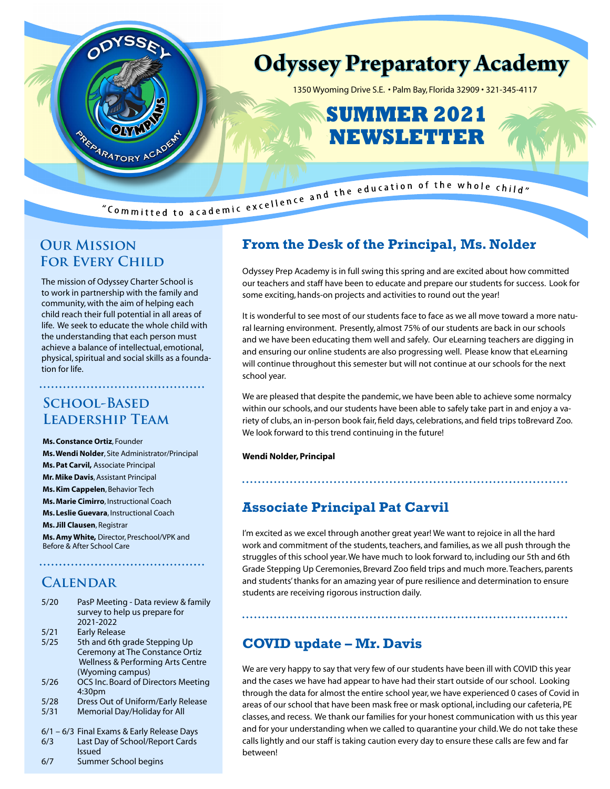

# **Our Mission FOR EVERY CHILD**

The mission of Odyssey Charter School is to work in partnership with the family and community, with the aim of helping each child reach their full potential in all areas of life. We seek to educate the whole child with the understanding that each person must achieve a balance of intellectual, emotional, physical, spiritual and social skills as a foundation for life.

# **School-Based Leadership Team**

**Ms. Constance Ortiz**, Founder **Ms. Wendi Nolder**, Site Administrator/Principal **Ms. Pat Carvil,** Associate Principal **Mr. Mike Davis**, Assistant Principal **Ms. Kim Cappelen**, Behavior Tech **Ms. Marie Cimirro**, Instructional Coach **Ms. Leslie Guevara**, Instructional Coach **Ms. Jill Clausen**, Registrar **Ms. Amy White,** Director, Preschool/VPK and Before & After School Care

# **Calendar**

- 5/20 PasP Meeting Data review & family survey to help us prepare for 2021-2022
- 5/21 Early Release
- 5/25 5th and 6th grade Stepping Up Ceremony at The Constance Ortiz Wellness & Performing Arts Centre (Wyoming campus)
- 5/26 OCS Inc. Board of Directors Meeting 4:30pm
- 5/28 Dress Out of Uniform/Early Release
- 5/31 Memorial Day/Holiday for All
- 6/1 6/3 Final Exams & Early Release Days
- 6/3 Last Day of School/Report Cards Issued
- 6/7 Summer School begins

# **From the Desk of the Principal, Ms. Nolder**

Odyssey Prep Academy is in full swing this spring and are excited about how committed our teachers and staff have been to educate and prepare our students for success. Look for some exciting, hands-on projects and activities to round out the year!

It is wonderful to see most of our students face to face as we all move toward a more natural learning environment. Presently, almost 75% of our students are back in our schools and we have been educating them well and safely. Our eLearning teachers are digging in and ensuring our online students are also progressing well. Please know that eLearning will continue throughout this semester but will not continue at our schools for the next school year.

We are pleased that despite the pandemic, we have been able to achieve some normalcy within our schools, and our students have been able to safely take part in and enjoy a variety of clubs, an in-person book fair, field days, celebrations, and field trips toBrevard Zoo. We look forward to this trend continuing in the future!

### **Wendi Nolder, Principal**

## **Associate Principal Pat Carvil**

I'm excited as we excel through another great year! We want to rejoice in all the hard work and commitment of the students, teachers, and families, as we all push through the struggles of this school year. We have much to look forward to, including our 5th and 6th Grade Stepping Up Ceremonies, Brevard Zoo field trips and much more. Teachers, parents and students' thanks for an amazing year of pure resilience and determination to ensure students are receiving rigorous instruction daily.

## **COVID update – Mr. Davis**

We are very happy to say that very few of our students have been ill with COVID this year and the cases we have had appear to have had their start outside of our school. Looking through the data for almost the entire school year, we have experienced 0 cases of Covid in areas of our school that have been mask free or mask optional, including our cafeteria, PE classes, and recess. We thank our families for your honest communication with us this year and for your understanding when we called to quarantine your child. We do not take these calls lightly and our staff is taking caution every day to ensure these calls are few and far between!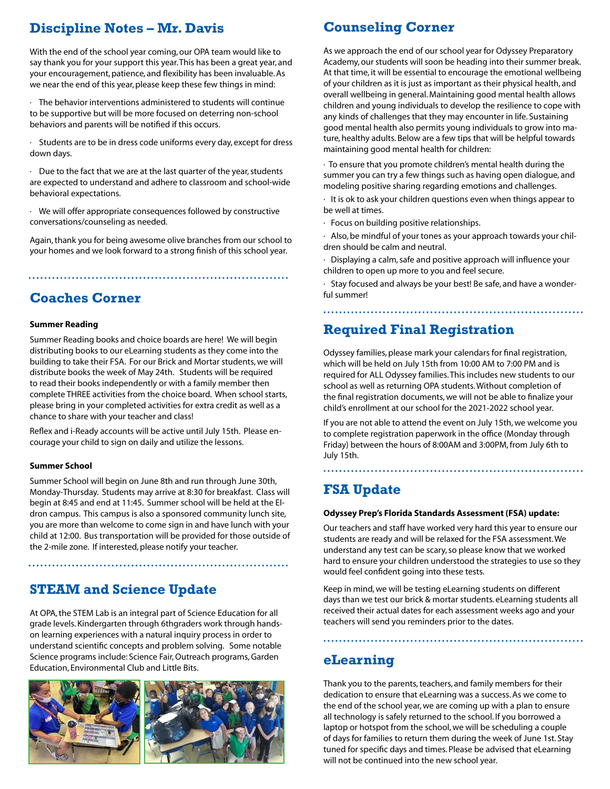# **Discipline Notes – Mr. Davis**

With the end of the school year coming, our OPA team would like to say thank you for your support this year. This has been a great year, and your encouragement, patience, and flexibility has been invaluable. As we near the end of this year, please keep these few things in mind:

 $\cdot$  The behavior interventions administered to students will continue to be supportive but will be more focused on deterring non-school behaviors and parents will be notified if this occurs.

Students are to be in dress code uniforms every day, except for dress down days.

· Due to the fact that we are at the last quarter of the year, students are expected to understand and adhere to classroom and school-wide behavioral expectations.

· We will offer appropriate consequences followed by constructive conversations/counseling as needed.

Again, thank you for being awesome olive branches from our school to your homes and we look forward to a strong finish of this school year.

**Coaches Corner**

### **Summer Reading**

Summer Reading books and choice boards are here! We will begin distributing books to our eLearning students as they come into the building to take their FSA. For our Brick and Mortar students, we will distribute books the week of May 24th. Students will be required to read their books independently or with a family member then complete THREE activities from the choice board. When school starts, please bring in your completed activities for extra credit as well as a chance to share with your teacher and class!

Reflex and i-Ready accounts will be active until July 15th. Please encourage your child to sign on daily and utilize the lessons.

### **Summer School**

Summer School will begin on June 8th and run through June 30th, Monday-Thursday. Students may arrive at 8:30 for breakfast. Class will begin at 8:45 and end at 11:45. Summer school will be held at the Eldron campus. This campus is also a sponsored community lunch site, you are more than welcome to come sign in and have lunch with your child at 12:00. Bus transportation will be provided for those outside of the 2-mile zone. If interested, please notify your teacher.

## **STEAM and Science Update**

At OPA, the STEM Lab is an integral part of Science Education for all grade levels. Kindergarten through 6thgraders work through handson learning experiences with a natural inquiry process in order to understand scientific concepts and problem solving. Some notable Science programs include: Science Fair, Outreach programs, Garden Education, Environmental Club and Little Bits.



## **Counseling Corner**

As we approach the end of our school year for Odyssey Preparatory Academy, our students will soon be heading into their summer break. At that time, it will be essential to encourage the emotional wellbeing of your children as it is just as important as their physical health, and overall wellbeing in general. Maintaining good mental health allows children and young individuals to develop the resilience to cope with any kinds of challenges that they may encounter in life. Sustaining good mental health also permits young individuals to grow into mature, healthy adults. Below are a few tips that will be helpful towards maintaining good mental health for children:

· To ensure that you promote children's mental health during the summer you can try a few things such as having open dialogue, and modeling positive sharing regarding emotions and challenges.

· It is ok to ask your children questions even when things appear to be well at times.

- · Focus on building positive relationships.
- · Also, be mindful of your tones as your approach towards your children should be calm and neutral.
- · Displaying a calm, safe and positive approach will influence your children to open up more to you and feel secure.

· Stay focused and always be your best! Be safe, and have a wonderful summer!

**Required Final Registration**

Odyssey families, please mark your calendars for final registration, which will be held on July 15th from 10:00 AM to 7:00 PM and is required for ALL Odyssey families. This includes new students to our school as well as returning OPA students. Without completion of the final registration documents, we will not be able to finalize your child's enrollment at our school for the 2021-2022 school year.

If you are not able to attend the event on July 15th, we welcome you to complete registration paperwork in the office (Monday through Friday) between the hours of 8:00AM and 3:00PM, from July 6th to July 15th.

# **FSA Update**

#### **Odyssey Prep's Florida Standards Assessment (FSA) update:**

Our teachers and staff have worked very hard this year to ensure our students are ready and will be relaxed for the FSA assessment. We understand any test can be scary, so please know that we worked hard to ensure your children understood the strategies to use so they would feel confident going into these tests.

Keep in mind, we will be testing eLearning students on different days than we test our brick & mortar students. eLearning students all received their actual dates for each assessment weeks ago and your teachers will send you reminders prior to the dates.

## **eLearning**

Thank you to the parents, teachers, and family members for their dedication to ensure that eLearning was a success. As we come to the end of the school year, we are coming up with a plan to ensure all technology is safely returned to the school. If you borrowed a laptop or hotspot from the school, we will be scheduling a couple of days for families to return them during the week of June 1st. Stay tuned for specific days and times. Please be advised that eLearning will not be continued into the new school year.